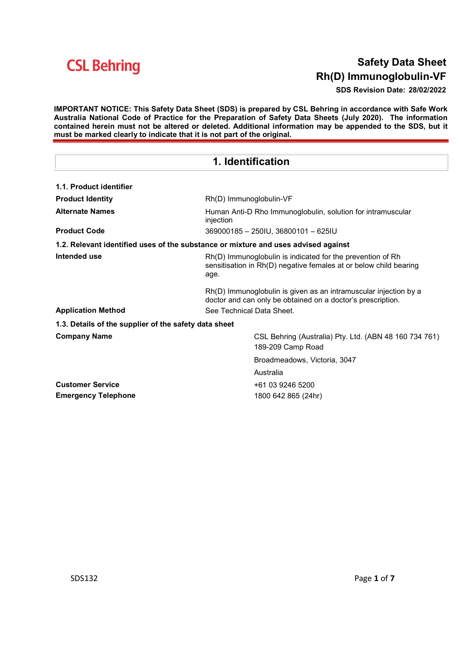### Safety Data Sheet Rh(D) Immunoglobulin-VF

SDS Revision Date: 28/02/2022

IMPORTANT NOTICE: This Safety Data Sheet (SDS) is prepared by CSL Behring in accordance with Safe Work Australia National Code of Practice for the Preparation of Safety Data Sheets (July 2020). The information contained herein must not be altered or deleted. Additional information may be appended to the SDS, but it must be marked clearly to indicate that it is not part of the original.

### 1. Identification

| 1.1. Product identifier                               |                                                                                                                                         |  |
|-------------------------------------------------------|-----------------------------------------------------------------------------------------------------------------------------------------|--|
| <b>Product Identity</b>                               | Rh(D) Immunoglobulin-VF                                                                                                                 |  |
| <b>Alternate Names</b>                                | Human Anti-D Rho Immunoglobulin, solution for intramuscular<br>injection                                                                |  |
| <b>Product Code</b>                                   | 369000185 - 250IU, 36800101 - 625IU                                                                                                     |  |
|                                                       | 1.2. Relevant identified uses of the substance or mixture and uses advised against                                                      |  |
| Intended use                                          | Rh(D) Immunoglobulin is indicated for the prevention of Rh<br>sensitisation in Rh(D) negative females at or below child bearing<br>age. |  |
|                                                       | Rh(D) Immunoglobulin is given as an intramuscular injection by a<br>doctor and can only be obtained on a doctor's prescription.         |  |
| <b>Application Method</b>                             | See Technical Data Sheet.                                                                                                               |  |
| 1.3. Details of the supplier of the safety data sheet |                                                                                                                                         |  |
| <b>Company Name</b>                                   | CSL Behring (Australia) Pty. Ltd. (ABN 48 160 734 761)<br>189-209 Camp Road                                                             |  |
|                                                       | Broadmeadows, Victoria, 3047                                                                                                            |  |
|                                                       | Australia                                                                                                                               |  |
| <b>Customer Service</b>                               | +61 03 9246 5200                                                                                                                        |  |
| <b>Emergency Telephone</b>                            | 1800 642 865 (24hr)                                                                                                                     |  |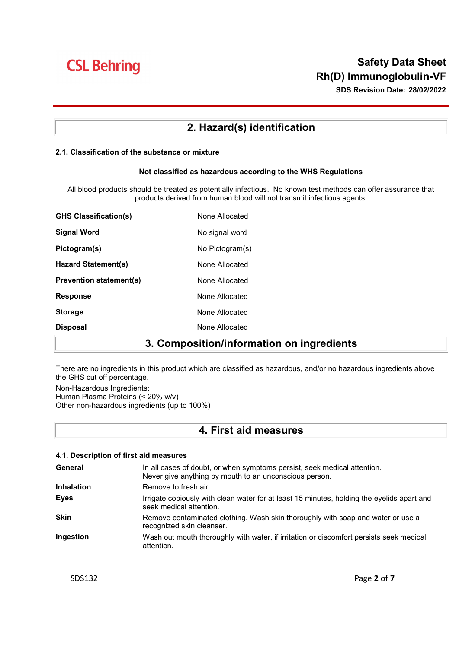### Safety Data Sheet Rh(D) Immunoglobulin-VF

SDS Revision Date: 28/02/2022

### 2. Hazard(s) identification

#### 2.1. Classification of the substance or mixture

#### Not classified as hazardous according to the WHS Regulations

All blood products should be treated as potentially infectious. No known test methods can offer assurance that products derived from human blood will not transmit infectious agents.

| <b>GHS Classification(s)</b>   | None Allocated  |
|--------------------------------|-----------------|
| Signal Word                    | No signal word  |
| Pictogram(s)                   | No Pictogram(s) |
| Hazard Statement(s)            | None Allocated  |
| <b>Prevention statement(s)</b> | None Allocated  |
| <b>Response</b>                | None Allocated  |
| <b>Storage</b>                 | None Allocated  |
| <b>Disposal</b>                | None Allocated  |

### 3. Composition/information on ingredients

There are no ingredients in this product which are classified as hazardous, and/or no hazardous ingredients above the GHS cut off percentage.

Non-Hazardous Ingredients: Human Plasma Proteins (< 20% w/v) Other non-hazardous ingredients (up to 100%)

### 4. First aid measures

| 4.1. Description of first aid measures |                                                                                                                                    |  |
|----------------------------------------|------------------------------------------------------------------------------------------------------------------------------------|--|
| General                                | In all cases of doubt, or when symptoms persist, seek medical attention.<br>Never give anything by mouth to an unconscious person. |  |
| <b>Inhalation</b>                      | Remove to fresh air.                                                                                                               |  |
| <b>Eyes</b>                            | Irrigate copiously with clean water for at least 15 minutes, holding the eyelids apart and<br>seek medical attention.              |  |
| <b>Skin</b>                            | Remove contaminated clothing. Wash skin thoroughly with soap and water or use a<br>recognized skin cleanser.                       |  |
| Ingestion                              | Wash out mouth thoroughly with water, if irritation or discomfort persists seek medical<br>attention.                              |  |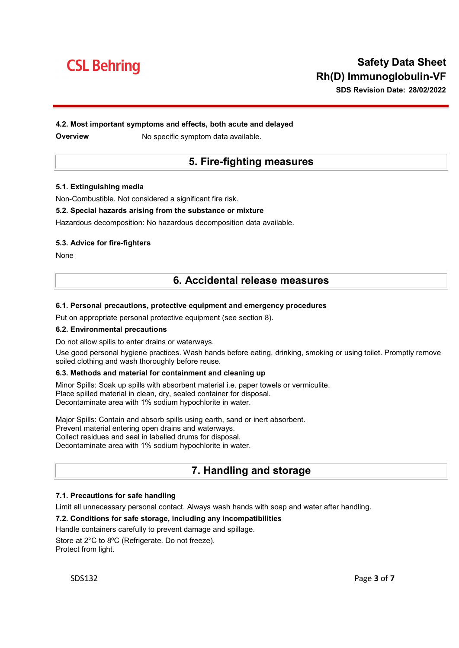## Safety Data Sheet Rh(D) Immunoglobulin-VF

SDS Revision Date: 28/02/2022

### 4.2. Most important symptoms and effects, both acute and delayed

**Overview Mo specific symptom data available.** 

### 5. Fire-fighting measures

#### 5.1. Extinguishing media

Non-Combustible. Not considered a significant fire risk.

#### 5.2. Special hazards arising from the substance or mixture

Hazardous decomposition: No hazardous decomposition data available.

#### 5.3. Advice for fire-fighters

None

### 6. Accidental release measures

#### 6.1. Personal precautions, protective equipment and emergency procedures

Put on appropriate personal protective equipment (see section 8).

#### 6.2. Environmental precautions

Do not allow spills to enter drains or waterways.

Use good personal hygiene practices. Wash hands before eating, drinking, smoking or using toilet. Promptly remove soiled clothing and wash thoroughly before reuse.

#### 6.3. Methods and material for containment and cleaning up

Minor Spills: Soak up spills with absorbent material i.e. paper towels or vermiculite. Place spilled material in clean, dry, sealed container for disposal. Decontaminate area with 1% sodium hypochlorite in water.

Major Spills: Contain and absorb spills using earth, sand or inert absorbent. Prevent material entering open drains and waterways. Collect residues and seal in labelled drums for disposal. Decontaminate area with 1% sodium hypochlorite in water.

### 7. Handling and storage

#### 7.1. Precautions for safe handling

Limit all unnecessary personal contact. Always wash hands with soap and water after handling.

#### 7.2. Conditions for safe storage, including any incompatibilities

Handle containers carefully to prevent damage and spillage.

Store at 2°C to 8ºC (Refrigerate. Do not freeze). Protect from light.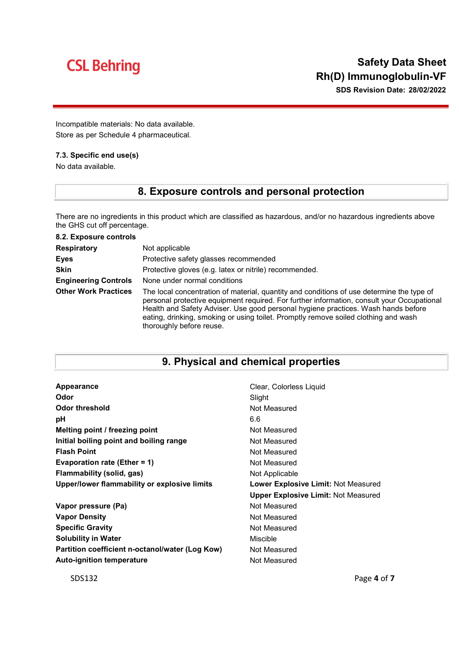SDS Revision Date: 28/02/2022

Incompatible materials: No data available. Store as per Schedule 4 pharmaceutical.

### 7.3. Specific end use(s)

No data available.

### 8. Exposure controls and personal protection

There are no ingredients in this product which are classified as hazardous, and/or no hazardous ingredients above the GHS cut off percentage.

| 8.2. Exposure controls      |                                                                                                                                                                                                                                                                                                                                                                                                 |
|-----------------------------|-------------------------------------------------------------------------------------------------------------------------------------------------------------------------------------------------------------------------------------------------------------------------------------------------------------------------------------------------------------------------------------------------|
| <b>Respiratory</b>          | Not applicable                                                                                                                                                                                                                                                                                                                                                                                  |
| <b>Eyes</b>                 | Protective safety glasses recommended                                                                                                                                                                                                                                                                                                                                                           |
| <b>Skin</b>                 | Protective gloves (e.g. latex or nitrile) recommended.                                                                                                                                                                                                                                                                                                                                          |
| <b>Engineering Controls</b> | None under normal conditions                                                                                                                                                                                                                                                                                                                                                                    |
| <b>Other Work Practices</b> | The local concentration of material, quantity and conditions of use determine the type of<br>personal protective equipment required. For further information, consult your Occupational<br>Health and Safety Adviser. Use good personal hygiene practices. Wash hands before<br>eating, drinking, smoking or using toilet. Promptly remove soiled clothing and wash<br>thoroughly before reuse. |

### 9. Physical and chemical properties

| Appearance                                      | Clear, Colorless Liquid                    |
|-------------------------------------------------|--------------------------------------------|
| Odor                                            | Slight                                     |
| Odor threshold                                  | Not Measured                               |
| рH                                              | 6.6                                        |
| Melting point / freezing point                  | Not Measured                               |
| Initial boiling point and boiling range         | Not Measured                               |
| <b>Flash Point</b>                              | Not Measured                               |
| Evaporation rate (Ether = 1)                    | Not Measured                               |
| Flammability (solid, gas)                       | Not Applicable                             |
| Upper/lower flammability or explosive limits    | Lower Explosive Limit: Not Measured        |
|                                                 | <b>Upper Explosive Limit: Not Measured</b> |
| Vapor pressure (Pa)                             | Not Measured                               |
| <b>Vapor Density</b>                            | Not Measured                               |
| <b>Specific Gravity</b>                         | Not Measured                               |
| <b>Solubility in Water</b>                      | Miscible                                   |
| Partition coefficient n-octanol/water (Log Kow) | Not Measured                               |
| <b>Auto-ignition temperature</b>                | Not Measured                               |
|                                                 |                                            |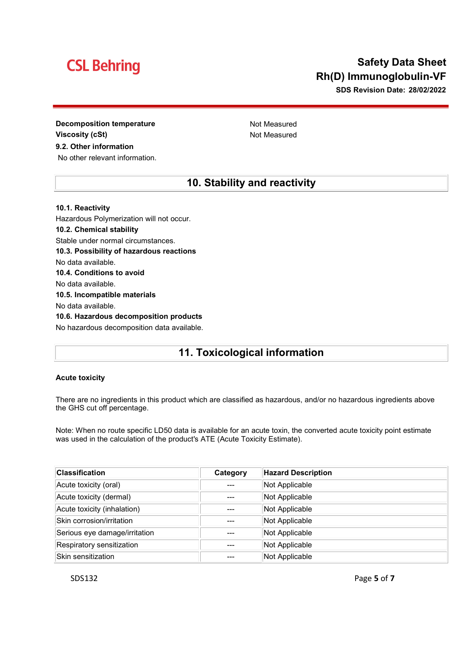### Safety Data Sheet Rh(D) Immunoglobulin-VF

SDS Revision Date: 28/02/2022

Decomposition temperature Not Measured Viscosity (cSt) and the example of the Not Measured 9.2. Other information No other relevant information.

### 10. Stability and reactivity

10.1. Reactivity Hazardous Polymerization will not occur. 10.2. Chemical stability Stable under normal circumstances. 10.3. Possibility of hazardous reactions No data available. 10.4. Conditions to avoid No data available. 10.5. Incompatible materials No data available. 10.6. Hazardous decomposition products No hazardous decomposition data available.

### 11. Toxicological information

#### Acute toxicity

There are no ingredients in this product which are classified as hazardous, and/or no hazardous ingredients above the GHS cut off percentage.

Note: When no route specific LD50 data is available for an acute toxin, the converted acute toxicity point estimate was used in the calculation of the product's ATE (Acute Toxicity Estimate).

| <b>Classification</b>         | Category | <b>Hazard Description</b> |
|-------------------------------|----------|---------------------------|
| Acute toxicity (oral)         |          | Not Applicable            |
| Acute toxicity (dermal)       | ---      | Not Applicable            |
| Acute toxicity (inhalation)   | ---      | Not Applicable            |
| Skin corrosion/irritation     |          | Not Applicable            |
| Serious eye damage/irritation | ---      | Not Applicable            |
| Respiratory sensitization     | ---      | Not Applicable            |
| Skin sensitization            |          | Not Applicable            |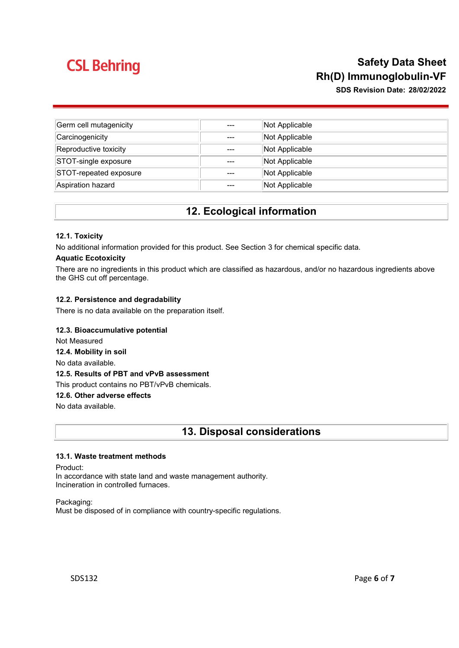### Safety Data Sheet Rh(D) Immunoglobulin-VF

SDS Revision Date: 28/02/2022

| Germ cell mutagenicity | $---$ | Not Applicable |
|------------------------|-------|----------------|
| Carcinogenicity        | $---$ | Not Applicable |
| Reproductive toxicity  | $---$ | Not Applicable |
| STOT-single exposure   | $---$ | Not Applicable |
| STOT-repeated exposure | $---$ | Not Applicable |
| Aspiration hazard      | ---   | Not Applicable |

### 12. Ecological information

#### 12.1. Toxicity

No additional information provided for this product. See Section 3 for chemical specific data.

#### Aquatic Ecotoxicity

There are no ingredients in this product which are classified as hazardous, and/or no hazardous ingredients above the GHS cut off percentage.

#### 12.2. Persistence and degradability

There is no data available on the preparation itself.

#### 12.3. Bioaccumulative potential

Not Measured

12.4. Mobility in soil

No data available.

#### 12.5. Results of PBT and vPvB assessment

This product contains no PBT/vPvB chemicals.

#### 12.6. Other adverse effects

No data available.

13. Disposal considerations

#### 13.1. Waste treatment methods

Product:

In accordance with state land and waste management authority. Incineration in controlled furnaces.

Packaging: Must be disposed of in compliance with country-specific regulations.